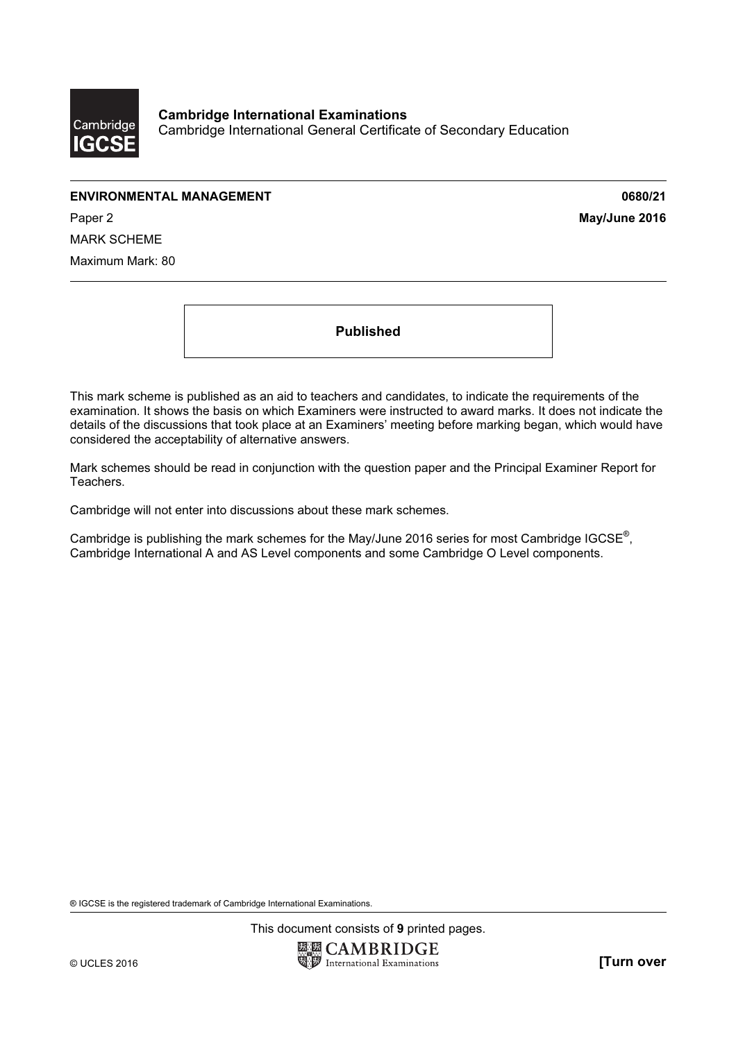

## ENVIRONMENTAL MANAGEMENT 0680/21

Paper 2 **May/June 2016** MARK SCHEME Maximum Mark: 80

Published

This mark scheme is published as an aid to teachers and candidates, to indicate the requirements of the examination. It shows the basis on which Examiners were instructed to award marks. It does not indicate the details of the discussions that took place at an Examiners' meeting before marking began, which would have considered the acceptability of alternative answers.

Mark schemes should be read in conjunction with the question paper and the Principal Examiner Report for Teachers.

Cambridge will not enter into discussions about these mark schemes.

Cambridge is publishing the mark schemes for the May/June 2016 series for most Cambridge IGCSE*®* , Cambridge International A and AS Level components and some Cambridge O Level components.

® IGCSE is the registered trademark of Cambridge International Examinations.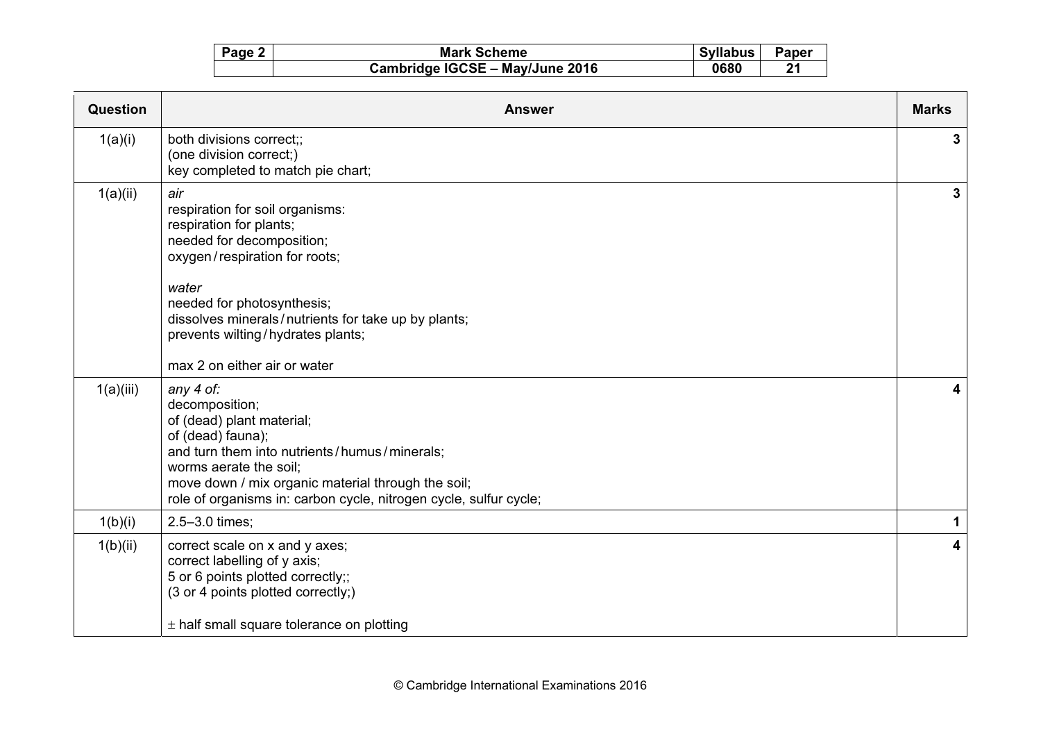| Page 2 | <b>Mark Scheme</b>              | Syllabus | <b>Paper</b> |
|--------|---------------------------------|----------|--------------|
|        | Cambridge IGCSE - May/June 2016 | 0680     | 21           |

| Question  | <b>Answer</b>                                                                                                                                                                                                                                                                                      | <b>Marks</b>            |
|-----------|----------------------------------------------------------------------------------------------------------------------------------------------------------------------------------------------------------------------------------------------------------------------------------------------------|-------------------------|
| 1(a)(i)   | both divisions correct;;<br>(one division correct;)<br>key completed to match pie chart;                                                                                                                                                                                                           | 3                       |
| 1(a)(ii)  | air<br>respiration for soil organisms:<br>respiration for plants;<br>needed for decomposition;<br>oxygen/respiration for roots;<br>water<br>needed for photosynthesis;<br>dissolves minerals/nutrients for take up by plants;<br>prevents wilting/hydrates plants;<br>max 2 on either air or water | 3                       |
| 1(a)(iii) | any 4 of:<br>decomposition;<br>of (dead) plant material;<br>of (dead) fauna);<br>and turn them into nutrients/humus/minerals;<br>worms aerate the soil:<br>move down / mix organic material through the soil;<br>role of organisms in: carbon cycle, nitrogen cycle, sulfur cycle;                 | 4                       |
| 1(b)(i)   | 2.5-3.0 times;                                                                                                                                                                                                                                                                                     | 1                       |
| 1(b)(ii)  | correct scale on x and y axes;<br>correct labelling of y axis;<br>5 or 6 points plotted correctly;;<br>(3 or 4 points plotted correctly;)<br>$±$ half small square tolerance on plotting                                                                                                           | $\overline{\mathbf{4}}$ |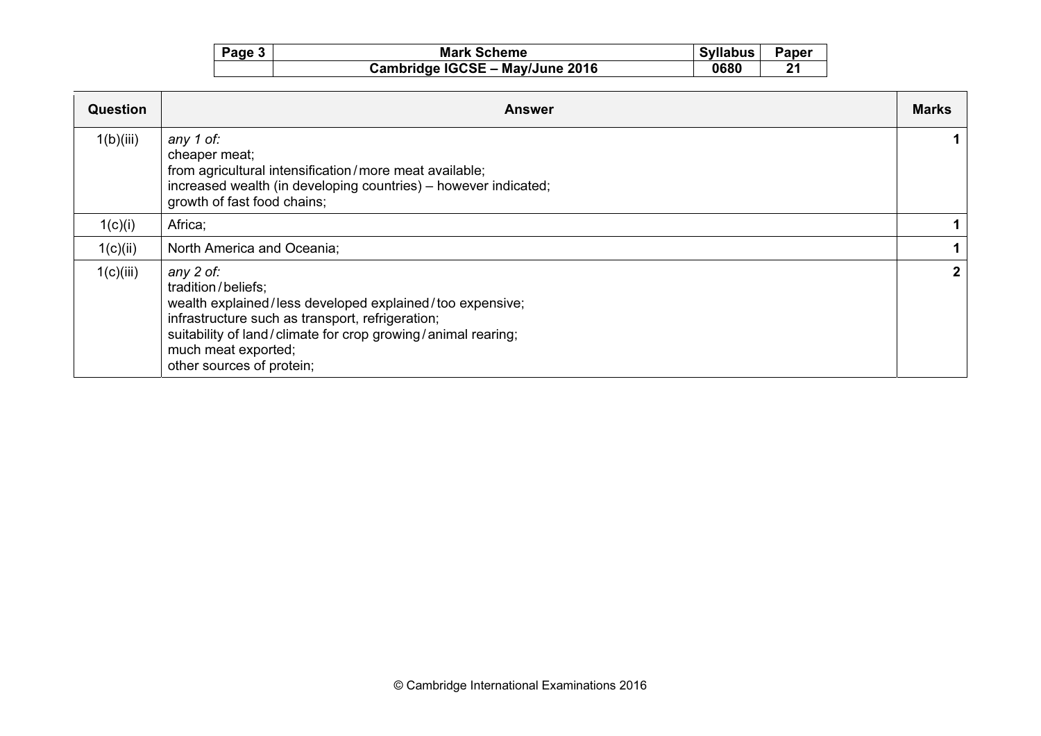| Page 3 | <b>Mark Scheme</b>              | <b>Syllabus</b> | <b>Paper</b> |
|--------|---------------------------------|-----------------|--------------|
|        | Cambridge IGCSE - May/June 2016 | 0680            | 21           |

| <b>Question</b> | <b>Answer</b>                                                                                                                                                                                                                                                       | <b>Marks</b> |
|-----------------|---------------------------------------------------------------------------------------------------------------------------------------------------------------------------------------------------------------------------------------------------------------------|--------------|
| 1(b)(iii)       | any 1 of:<br>cheaper meat;<br>from agricultural intensification/more meat available;<br>increased wealth (in developing countries) - however indicated;<br>growth of fast food chains;                                                                              |              |
| 1(c)(i)         | Africa;                                                                                                                                                                                                                                                             |              |
| 1(c)(ii)        | North America and Oceania;                                                                                                                                                                                                                                          |              |
| 1(c)(iii)       | any 2 of:<br>tradition/beliefs;<br>wealth explained/less developed explained/too expensive;<br>infrastructure such as transport, refrigeration;<br>suitability of land/climate for crop growing/animal rearing;<br>much meat exported;<br>other sources of protein; |              |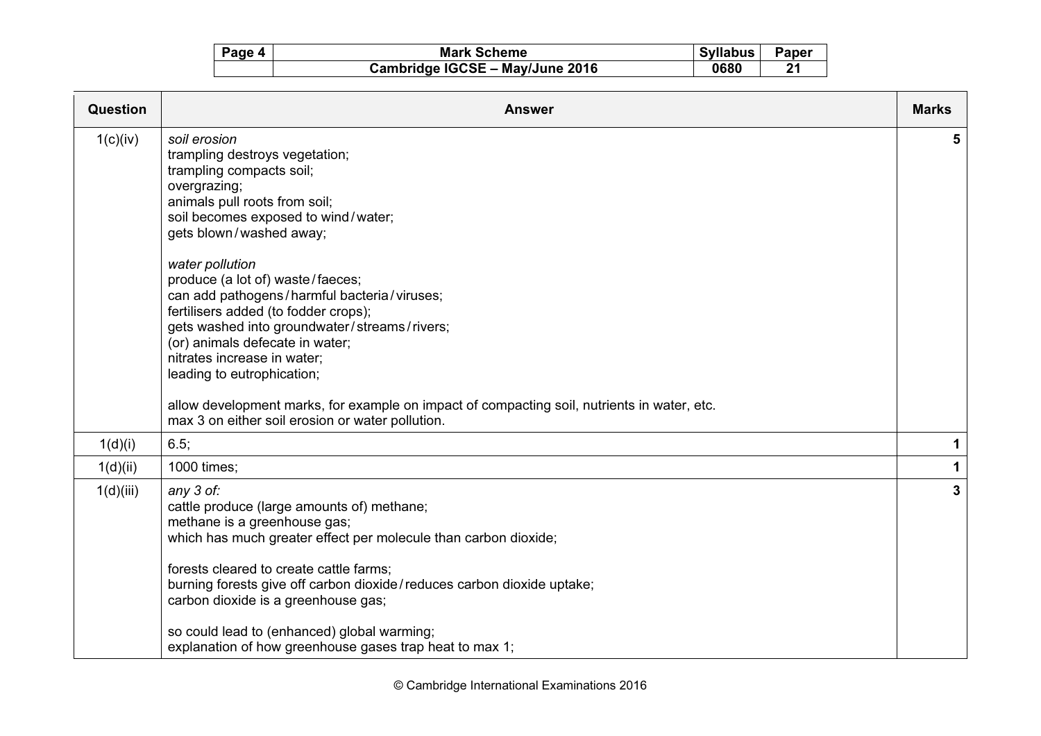| Page 4 | <b>Mark Scheme</b>              | <b>Syllabus</b> | Paper |
|--------|---------------------------------|-----------------|-------|
|        | Cambridge IGCSE - May/June 2016 | 0680            | 21    |

| Question  | <b>Answer</b>                                                                                                                                                                                                                                                                                                                                                                                                                                                                                                                                                                                                                                  | <b>Marks</b> |
|-----------|------------------------------------------------------------------------------------------------------------------------------------------------------------------------------------------------------------------------------------------------------------------------------------------------------------------------------------------------------------------------------------------------------------------------------------------------------------------------------------------------------------------------------------------------------------------------------------------------------------------------------------------------|--------------|
| 1(c)(iv)  | soil erosion<br>trampling destroys vegetation;<br>trampling compacts soil;<br>overgrazing;<br>animals pull roots from soil;<br>soil becomes exposed to wind/water;<br>gets blown/washed away;<br>water pollution<br>produce (a lot of) waste/faeces;<br>can add pathogens/harmful bacteria/viruses;<br>fertilisers added (to fodder crops);<br>gets washed into groundwater/streams/rivers;<br>(or) animals defecate in water;<br>nitrates increase in water;<br>leading to eutrophication;<br>allow development marks, for example on impact of compacting soil, nutrients in water, etc.<br>max 3 on either soil erosion or water pollution. | 5.           |
| 1(d)(i)   | 6.5;                                                                                                                                                                                                                                                                                                                                                                                                                                                                                                                                                                                                                                           | 1            |
| 1(d)(ii)  | 1000 times;                                                                                                                                                                                                                                                                                                                                                                                                                                                                                                                                                                                                                                    | $\mathbf{1}$ |
| 1(d)(iii) | any 3 of:<br>cattle produce (large amounts of) methane;<br>methane is a greenhouse gas;<br>which has much greater effect per molecule than carbon dioxide;<br>forests cleared to create cattle farms;<br>burning forests give off carbon dioxide/reduces carbon dioxide uptake;<br>carbon dioxide is a greenhouse gas;<br>so could lead to (enhanced) global warming;<br>explanation of how greenhouse gases trap heat to max 1;                                                                                                                                                                                                               | $\mathbf{3}$ |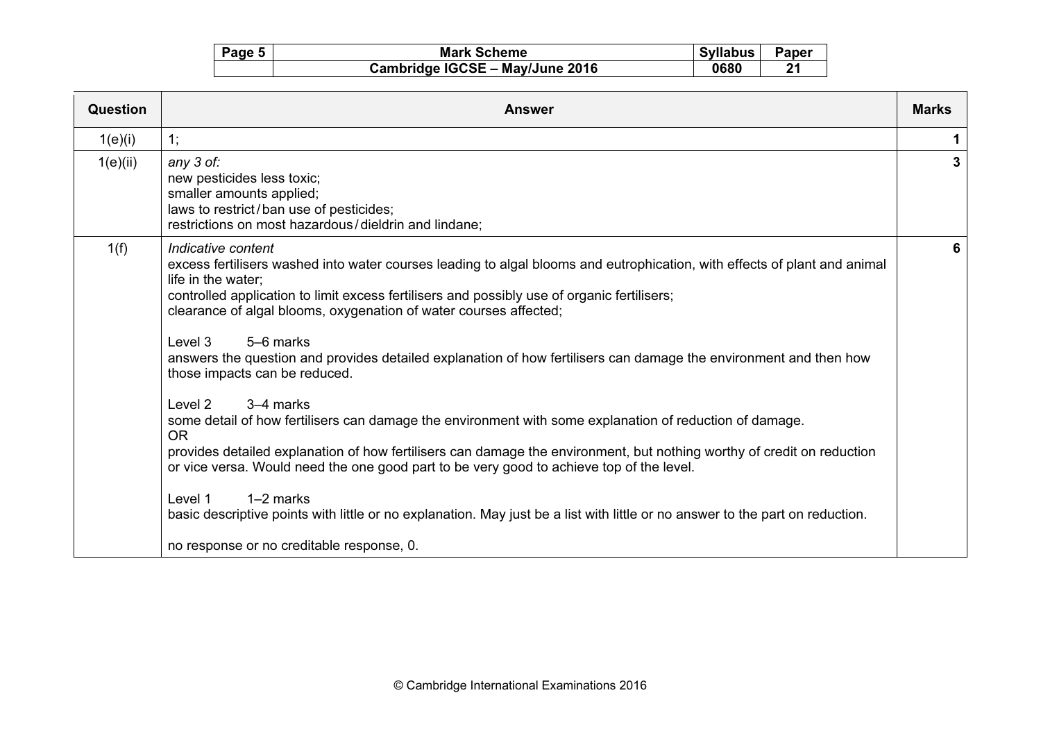| Page 5 | <b>Mark Scheme</b>              | Syllabus | <b>Paper</b> |
|--------|---------------------------------|----------|--------------|
|        | Cambridge IGCSE - May/June 2016 | 0680     | 21           |

| Question | <b>Answer</b>                                                                                                                                                                                                                                                                                                                                                                                                                                                                                                                                                                                                                                                                                                                                                                                                                                                                                                                                                                                                                                                                                   | <b>Marks</b> |
|----------|-------------------------------------------------------------------------------------------------------------------------------------------------------------------------------------------------------------------------------------------------------------------------------------------------------------------------------------------------------------------------------------------------------------------------------------------------------------------------------------------------------------------------------------------------------------------------------------------------------------------------------------------------------------------------------------------------------------------------------------------------------------------------------------------------------------------------------------------------------------------------------------------------------------------------------------------------------------------------------------------------------------------------------------------------------------------------------------------------|--------------|
| 1(e)(i)  | 1;                                                                                                                                                                                                                                                                                                                                                                                                                                                                                                                                                                                                                                                                                                                                                                                                                                                                                                                                                                                                                                                                                              | 1            |
| 1(e)(ii) | any 3 of:<br>new pesticides less toxic;<br>smaller amounts applied;<br>laws to restrict/ban use of pesticides;<br>restrictions on most hazardous/dieldrin and lindane;                                                                                                                                                                                                                                                                                                                                                                                                                                                                                                                                                                                                                                                                                                                                                                                                                                                                                                                          | 3            |
| 1(f)     | Indicative content<br>excess fertilisers washed into water courses leading to algal blooms and eutrophication, with effects of plant and animal<br>life in the water;<br>controlled application to limit excess fertilisers and possibly use of organic fertilisers;<br>clearance of algal blooms, oxygenation of water courses affected;<br>Level 3<br>5–6 marks<br>answers the question and provides detailed explanation of how fertilisers can damage the environment and then how<br>those impacts can be reduced.<br>Level 2<br>3–4 marks<br>some detail of how fertilisers can damage the environment with some explanation of reduction of damage.<br>OR.<br>provides detailed explanation of how fertilisers can damage the environment, but nothing worthy of credit on reduction<br>or vice versa. Would need the one good part to be very good to achieve top of the level.<br>$1-2$ marks<br>Level 1<br>basic descriptive points with little or no explanation. May just be a list with little or no answer to the part on reduction.<br>no response or no creditable response, 0. | 6            |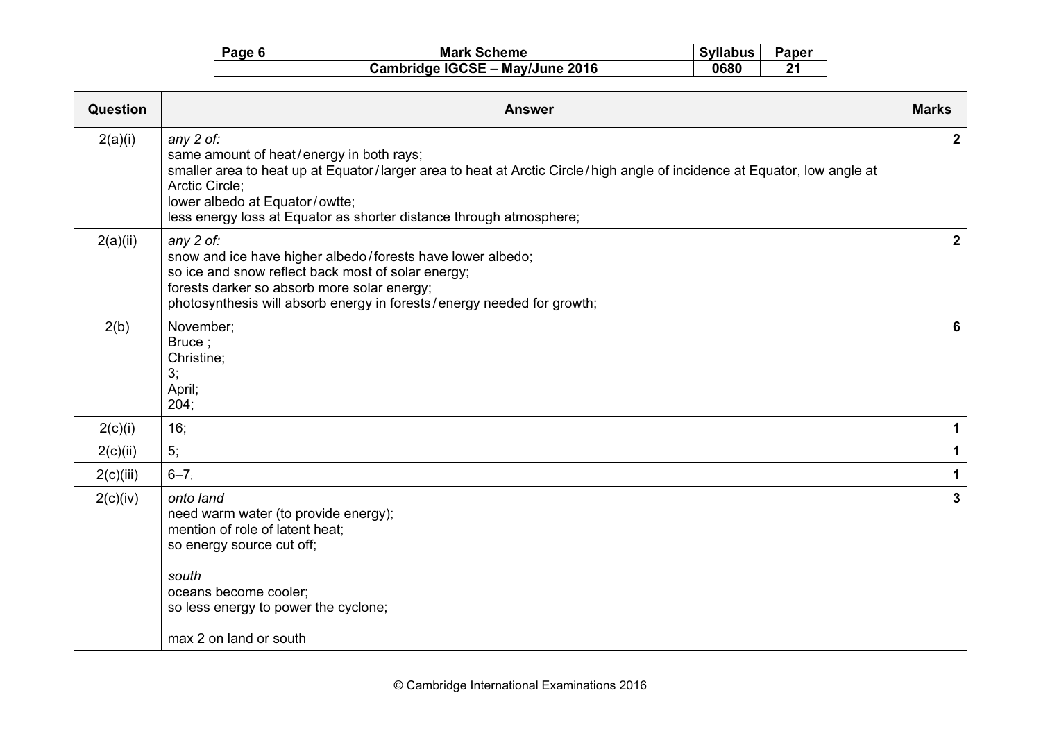| Page 6 | <b>Mark Scheme</b>              | <b>Syllabus</b> | Paper |
|--------|---------------------------------|-----------------|-------|
|        | Cambridge IGCSE - May/June 2016 | 0680            | 21    |

| Question  | <b>Answer</b>                                                                                                                                                                                                                                                                                                | <b>Marks</b> |
|-----------|--------------------------------------------------------------------------------------------------------------------------------------------------------------------------------------------------------------------------------------------------------------------------------------------------------------|--------------|
| 2(a)(i)   | any 2 of:<br>same amount of heat/energy in both rays;<br>smaller area to heat up at Equator/larger area to heat at Arctic Circle/high angle of incidence at Equator, low angle at<br>Arctic Circle;<br>lower albedo at Equator/owtte;<br>less energy loss at Equator as shorter distance through atmosphere; | $\mathbf{2}$ |
| 2(a)(ii)  | any 2 of:<br>snow and ice have higher albedo/forests have lower albedo;<br>so ice and snow reflect back most of solar energy;<br>forests darker so absorb more solar energy;<br>photosynthesis will absorb energy in forests/energy needed for growth;                                                       | $\mathbf{2}$ |
| 2(b)      | November;<br>Bruce;<br>Christine;<br>3;<br>April;<br>204;                                                                                                                                                                                                                                                    | 6            |
| 2(c)(i)   | 16;                                                                                                                                                                                                                                                                                                          | $\mathbf 1$  |
| 2(c)(ii)  | 5;                                                                                                                                                                                                                                                                                                           | 1            |
| 2(c)(iii) | $6 - 7$                                                                                                                                                                                                                                                                                                      | 1            |
| 2(c)(iv)  | onto land<br>need warm water (to provide energy);<br>mention of role of latent heat;<br>so energy source cut off;<br>south<br>oceans become cooler;<br>so less energy to power the cyclone;<br>max 2 on land or south                                                                                        | $\mathbf{3}$ |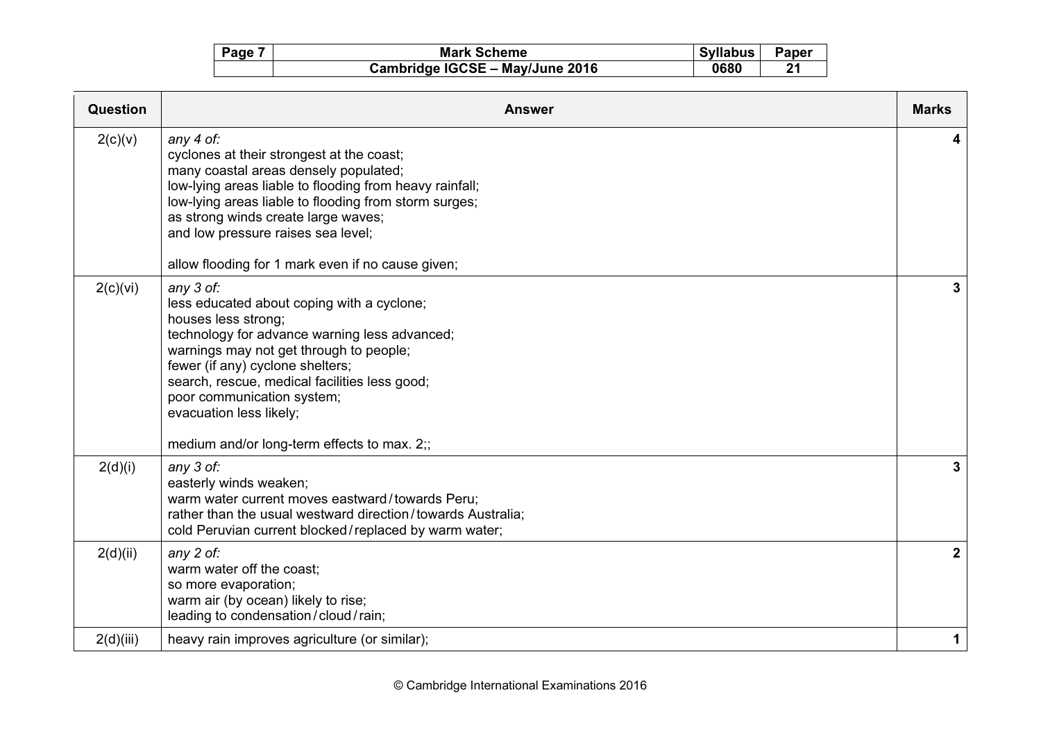| Page | <b>Mark Scheme</b>              | <b>Syllabus</b> | Paper |
|------|---------------------------------|-----------------|-------|
|      | Cambridge IGCSE - May/June 2016 | 0680            | 21    |

| Question  | <b>Answer</b>                                                                                                                                                                                                                                                                                                                                                           | <b>Marks</b> |
|-----------|-------------------------------------------------------------------------------------------------------------------------------------------------------------------------------------------------------------------------------------------------------------------------------------------------------------------------------------------------------------------------|--------------|
| 2(c)(v)   | any 4 of:<br>cyclones at their strongest at the coast;<br>many coastal areas densely populated;<br>low-lying areas liable to flooding from heavy rainfall;<br>low-lying areas liable to flooding from storm surges;<br>as strong winds create large waves;<br>and low pressure raises sea level;<br>allow flooding for 1 mark even if no cause given;                   |              |
| 2(c)(vi)  | any 3 of:<br>less educated about coping with a cyclone;<br>houses less strong;<br>technology for advance warning less advanced;<br>warnings may not get through to people;<br>fewer (if any) cyclone shelters;<br>search, rescue, medical facilities less good;<br>poor communication system;<br>evacuation less likely;<br>medium and/or long-term effects to max. 2;; | 3            |
| 2(d)(i)   | any 3 of:<br>easterly winds weaken;<br>warm water current moves eastward/towards Peru;<br>rather than the usual westward direction/towards Australia;<br>cold Peruvian current blocked/replaced by warm water;                                                                                                                                                          | 3            |
| 2(d)(ii)  | any 2 of:<br>warm water off the coast;<br>so more evaporation;<br>warm air (by ocean) likely to rise;<br>leading to condensation/cloud/rain;                                                                                                                                                                                                                            | $\mathbf{2}$ |
| 2(d)(iii) | heavy rain improves agriculture (or similar);                                                                                                                                                                                                                                                                                                                           | 1            |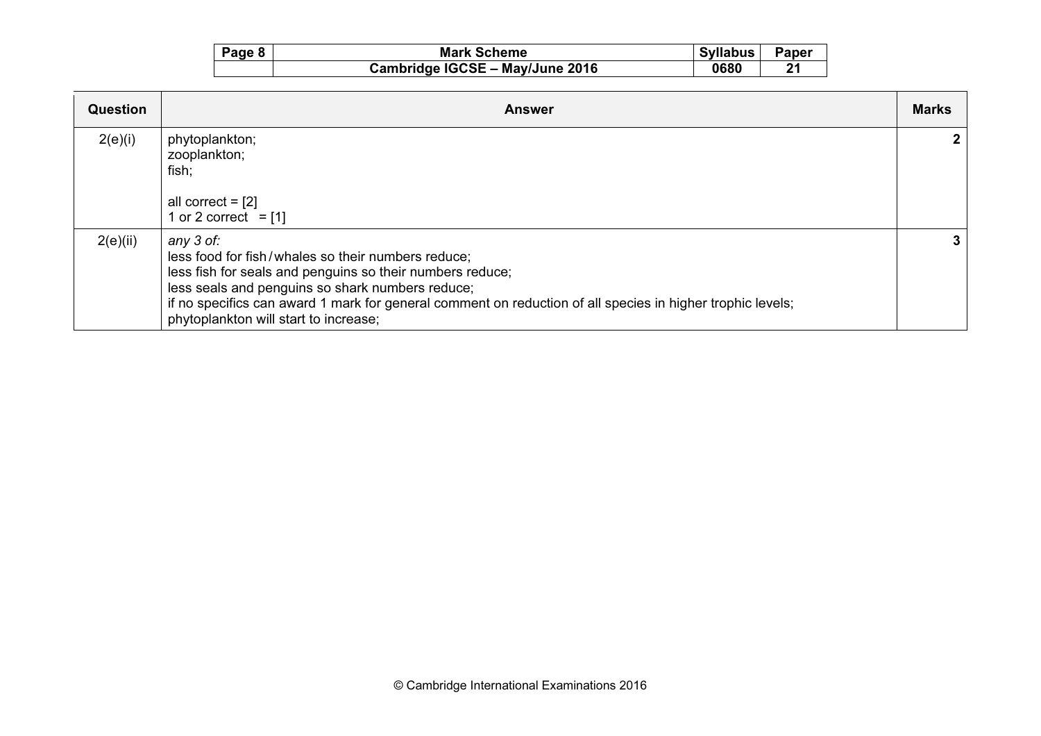| Page 8 | <b>Mark Scheme</b>              | <b>Syllabus</b> | <b>Paper</b> |
|--------|---------------------------------|-----------------|--------------|
|        | Cambridge IGCSE - May/June 2016 | 0680            | . ግላ         |

| <b>Question</b> | <b>Answer</b>                                                                                                                                                                                                                                                                                                                           | <b>Marks</b> |
|-----------------|-----------------------------------------------------------------------------------------------------------------------------------------------------------------------------------------------------------------------------------------------------------------------------------------------------------------------------------------|--------------|
| 2(e)(i)         | phytoplankton;<br>zooplankton;<br>fish;<br>all correct = $[2]$<br>1 or 2 correct = $[1]$                                                                                                                                                                                                                                                |              |
| 2(e)(ii)        | any 3 of:<br>less food for fish/whales so their numbers reduce;<br>less fish for seals and penguins so their numbers reduce;<br>less seals and penguins so shark numbers reduce;<br>if no specifics can award 1 mark for general comment on reduction of all species in higher trophic levels;<br>phytoplankton will start to increase; | 3            |